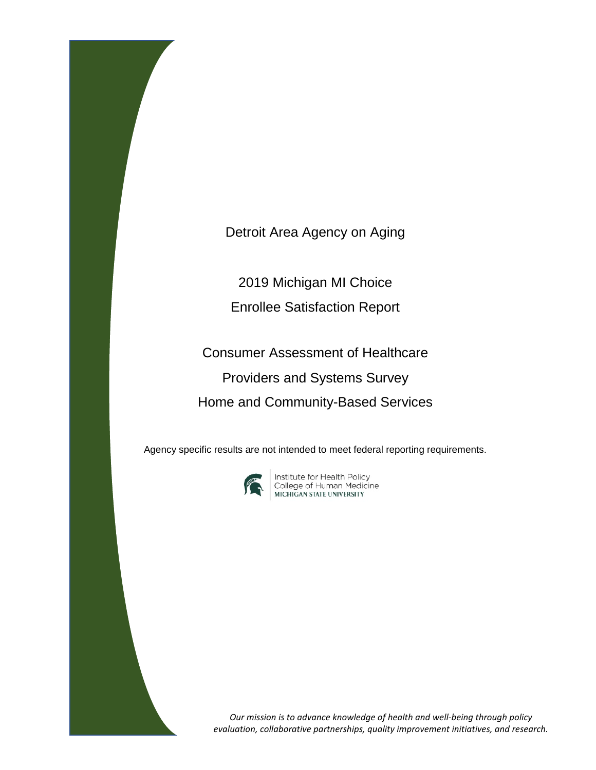Detroit Area Agency on Aging

2019 Michigan MI Choice Enrollee Satisfaction Report

Consumer Assessment of Healthcare Providers and Systems Survey Home and Community-Based Services

Agency specific results are not intended to meet federal reporting requirements.



**Institute for Health Policy<br>College of Human Medicine<br>MICHIGAN STATE UNIVERSITY** 

*Our mission is to advance knowledge of health and well-being through policy evaluation, collaborative partnerships, quality improvement initiatives, and research.*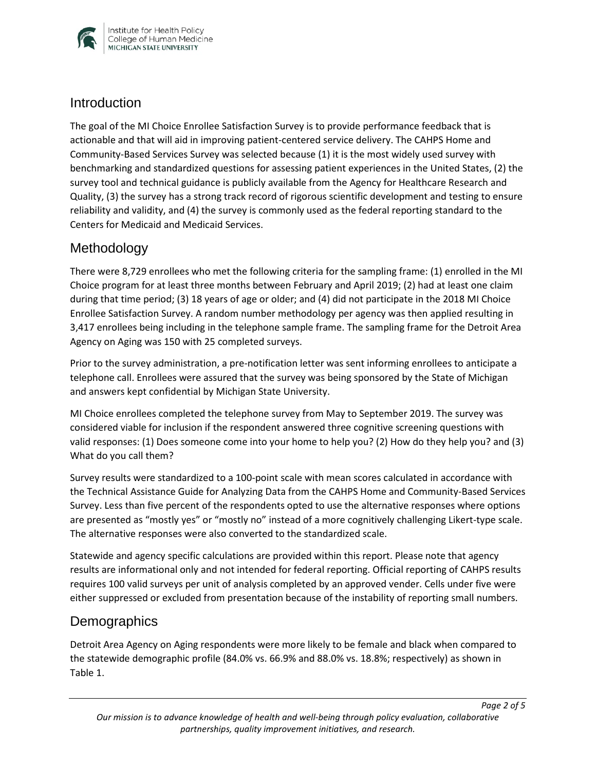

#### **Introduction**

The goal of the MI Choice Enrollee Satisfaction Survey is to provide performance feedback that is actionable and that will aid in improving patient-centered service delivery. The CAHPS Home and Community-Based Services Survey was selected because (1) it is the most widely used survey with benchmarking and standardized questions for assessing patient experiences in the United States, (2) the survey tool and technical guidance is publicly available from the Agency for Healthcare Research and Quality, (3) the survey has a strong track record of rigorous scientific development and testing to ensure reliability and validity, and (4) the survey is commonly used as the federal reporting standard to the Centers for Medicaid and Medicaid Services.

## Methodology

There were 8,729 enrollees who met the following criteria for the sampling frame: (1) enrolled in the MI Choice program for at least three months between February and April 2019; (2) had at least one claim during that time period; (3) 18 years of age or older; and (4) did not participate in the 2018 MI Choice Enrollee Satisfaction Survey. A random number methodology per agency was then applied resulting in 3,417 enrollees being including in the telephone sample frame. The sampling frame for the Detroit Area Agency on Aging was 150 with 25 completed surveys.

Prior to the survey administration, a pre-notification letter was sent informing enrollees to anticipate a telephone call. Enrollees were assured that the survey was being sponsored by the State of Michigan and answers kept confidential by Michigan State University.

MI Choice enrollees completed the telephone survey from May to September 2019. The survey was considered viable for inclusion if the respondent answered three cognitive screening questions with valid responses: (1) Does someone come into your home to help you? (2) How do they help you? and (3) What do you call them?

Survey results were standardized to a 100-point scale with mean scores calculated in accordance with the Technical Assistance Guide for Analyzing Data from the CAHPS Home and Community-Based Services Survey. Less than five percent of the respondents opted to use the alternative responses where options are presented as "mostly yes" or "mostly no" instead of a more cognitively challenging Likert-type scale. The alternative responses were also converted to the standardized scale.

Statewide and agency specific calculations are provided within this report. Please note that agency results are informational only and not intended for federal reporting. Official reporting of CAHPS results requires 100 valid surveys per unit of analysis completed by an approved vender. Cells under five were either suppressed or excluded from presentation because of the instability of reporting small numbers.

## **Demographics**

Detroit Area Agency on Aging respondents were more likely to be female and black when compared to the statewide demographic profile (84.0% vs. 66.9% and 88.0% vs. 18.8%; respectively) as shown in Table 1.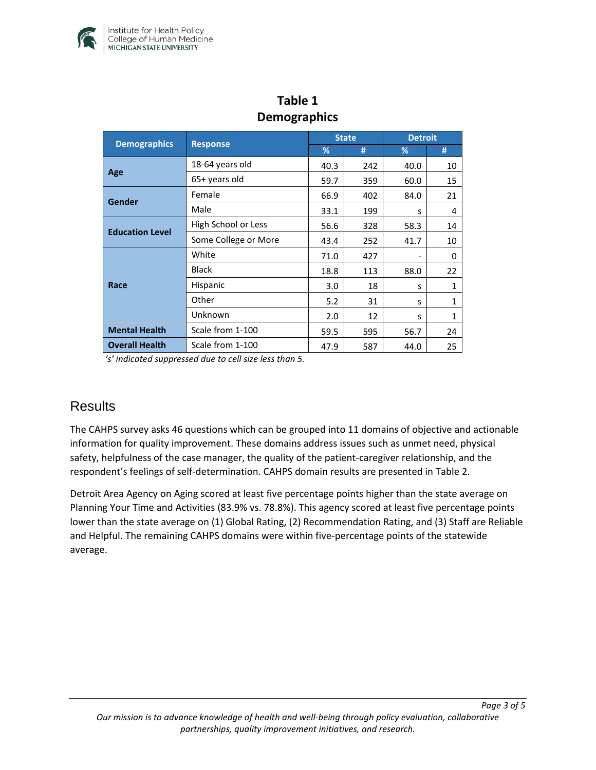

| stillographits         |                      |              |     |                |              |  |  |  |  |
|------------------------|----------------------|--------------|-----|----------------|--------------|--|--|--|--|
|                        | <b>Response</b>      | <b>State</b> |     | <b>Detroit</b> |              |  |  |  |  |
| <b>Demographics</b>    |                      | %            | #   | %              | #            |  |  |  |  |
| Age                    | 18-64 years old      | 40.3         | 242 | 40.0           | 10           |  |  |  |  |
|                        | 65+ years old        | 59.7         | 359 | 60.0           | 15           |  |  |  |  |
| Gender                 | Female               | 66.9         | 402 | 84.0           | 21           |  |  |  |  |
|                        | Male                 | 33.1         | 199 | S              | 4            |  |  |  |  |
| <b>Education Level</b> | High School or Less  | 56.6         | 328 | 58.3           | 14           |  |  |  |  |
|                        | Some College or More | 43.4         | 252 | 41.7           | 10           |  |  |  |  |
| Race                   | White                | 71.0         | 427 |                | 0            |  |  |  |  |
|                        | <b>Black</b>         | 18.8         | 113 | 88.0           | 22           |  |  |  |  |
|                        | Hispanic             | 3.0          | 18  | S              | $\mathbf{1}$ |  |  |  |  |
|                        | Other                | 5.2          | 31  | S              | $\mathbf{1}$ |  |  |  |  |
|                        | Unknown              | 2.0          | 12  | S              | $\mathbf{1}$ |  |  |  |  |
| <b>Mental Health</b>   | Scale from 1-100     | 59.5         | 595 | 56.7           | 24           |  |  |  |  |
| <b>Overall Health</b>  | Scale from 1-100     | 47.9         | 587 | 44.0           | 25           |  |  |  |  |

## **Table 1 Demographics**

*'s' indicated suppressed due to cell size less than 5.* 

## **Results**

The CAHPS survey asks 46 questions which can be grouped into 11 domains of objective and actionable information for quality improvement. These domains address issues such as unmet need, physical safety, helpfulness of the case manager, the quality of the patient-caregiver relationship, and the respondent's feelings of self-determination. CAHPS domain results are presented in Table 2.

Detroit Area Agency on Aging scored at least five percentage points higher than the state average on Planning Your Time and Activities (83.9% vs. 78.8%). This agency scored at least five percentage points lower than the state average on (1) Global Rating, (2) Recommendation Rating, and (3) Staff are Reliable and Helpful. The remaining CAHPS domains were within five-percentage points of the statewide average.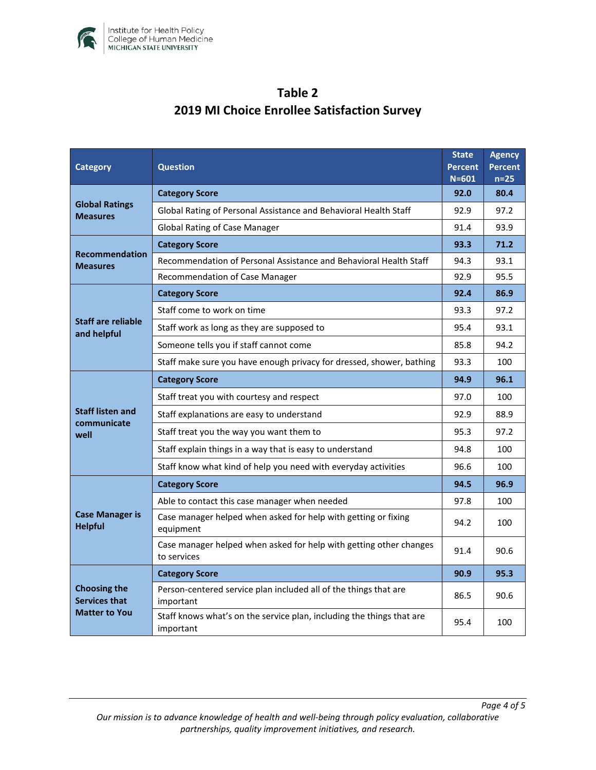

# **Table 2 2019 MI Choice Enrollee Satisfaction Survey**

| <b>Category</b>                                                     | <b>Question</b>                                                                    |      | <b>Agency</b><br><b>Percent</b><br>$n=25$ |
|---------------------------------------------------------------------|------------------------------------------------------------------------------------|------|-------------------------------------------|
| <b>Global Ratings</b><br><b>Measures</b>                            | <b>Category Score</b>                                                              | 92.0 | 80.4                                      |
|                                                                     | Global Rating of Personal Assistance and Behavioral Health Staff                   | 92.9 | 97.2                                      |
|                                                                     | <b>Global Rating of Case Manager</b>                                               | 91.4 | 93.9                                      |
| <b>Recommendation</b><br><b>Measures</b>                            | <b>Category Score</b>                                                              | 93.3 | 71.2                                      |
|                                                                     | Recommendation of Personal Assistance and Behavioral Health Staff                  | 94.3 | 93.1                                      |
|                                                                     | Recommendation of Case Manager                                                     | 92.9 | 95.5                                      |
| <b>Staff are reliable</b><br>and helpful                            | <b>Category Score</b>                                                              | 92.4 | 86.9                                      |
|                                                                     | Staff come to work on time                                                         | 93.3 | 97.2                                      |
|                                                                     | Staff work as long as they are supposed to                                         | 95.4 | 93.1                                      |
|                                                                     | Someone tells you if staff cannot come                                             | 85.8 | 94.2                                      |
|                                                                     | Staff make sure you have enough privacy for dressed, shower, bathing               | 93.3 | 100                                       |
| <b>Staff listen and</b><br>communicate<br>well                      | <b>Category Score</b>                                                              | 94.9 | 96.1                                      |
|                                                                     | Staff treat you with courtesy and respect                                          | 97.0 | 100                                       |
|                                                                     | Staff explanations are easy to understand                                          | 92.9 | 88.9                                      |
|                                                                     | Staff treat you the way you want them to                                           | 95.3 | 97.2                                      |
|                                                                     | Staff explain things in a way that is easy to understand                           | 94.8 | 100                                       |
|                                                                     | Staff know what kind of help you need with everyday activities                     | 96.6 | 100                                       |
| <b>Case Manager is</b><br><b>Helpful</b>                            | <b>Category Score</b>                                                              | 94.5 | 96.9                                      |
|                                                                     | Able to contact this case manager when needed                                      | 97.8 | 100                                       |
|                                                                     | Case manager helped when asked for help with getting or fixing<br>equipment        | 94.2 | 100                                       |
|                                                                     | Case manager helped when asked for help with getting other changes<br>to services  | 91.4 | 90.6                                      |
| <b>Choosing the</b><br><b>Services that</b><br><b>Matter to You</b> | <b>Category Score</b>                                                              | 90.9 | 95.3                                      |
|                                                                     | Person-centered service plan included all of the things that are<br>important      | 86.5 | 90.6                                      |
|                                                                     | Staff knows what's on the service plan, including the things that are<br>important | 95.4 | 100                                       |